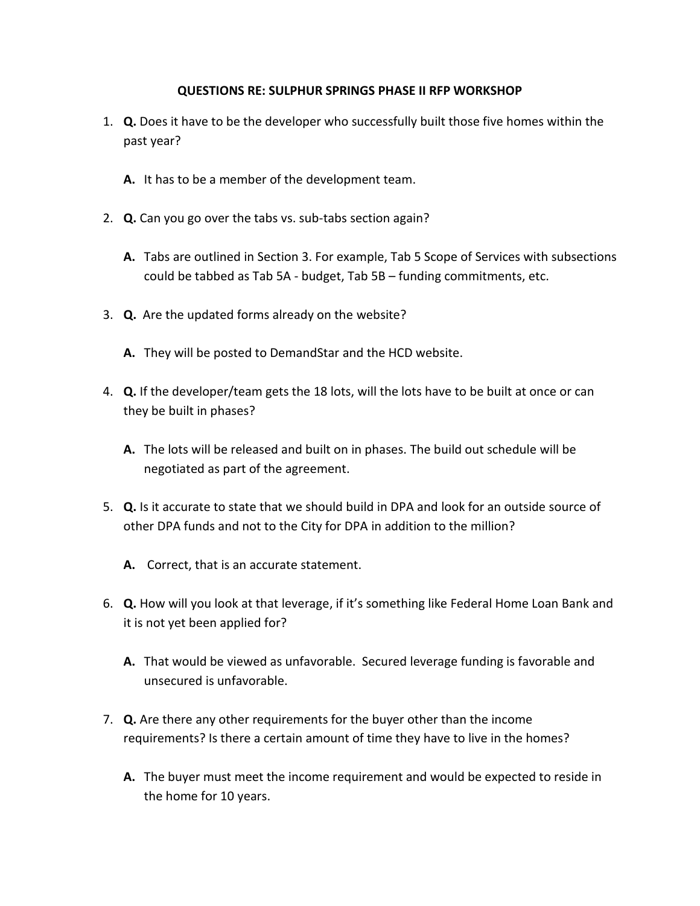## **QUESTIONS RE: SULPHUR SPRINGS PHASE II RFP WORKSHOP**

- 1. **Q.** Does it have to be the developer who successfully built those five homes within the past year?
	- **A.** It has to be a member of the development team.
- 2. **Q.** Can you go over the tabs vs. sub-tabs section again?
	- **A.** Tabs are outlined in Section 3. For example, Tab 5 Scope of Services with subsections could be tabbed as Tab 5A - budget, Tab 5B – funding commitments, etc.
- 3. **Q.** Are the updated forms already on the website?
	- **A.** They will be posted to DemandStar and the HCD website.
- 4. **Q.** If the developer/team gets the 18 lots, will the lots have to be built at once or can they be built in phases?
	- **A.** The lots will be released and built on in phases. The build out schedule will be negotiated as part of the agreement.
- 5. **Q.** Is it accurate to state that we should build in DPA and look for an outside source of other DPA funds and not to the City for DPA in addition to the million?
	- **A.** Correct, that is an accurate statement.
- 6. **Q.** How will you look at that leverage, if it's something like Federal Home Loan Bank and it is not yet been applied for?
	- **A.** That would be viewed as unfavorable. Secured leverage funding is favorable and unsecured is unfavorable.
- 7. **Q.** Are there any other requirements for the buyer other than the income requirements? Is there a certain amount of time they have to live in the homes?
	- **A.** The buyer must meet the income requirement and would be expected to reside in the home for 10 years.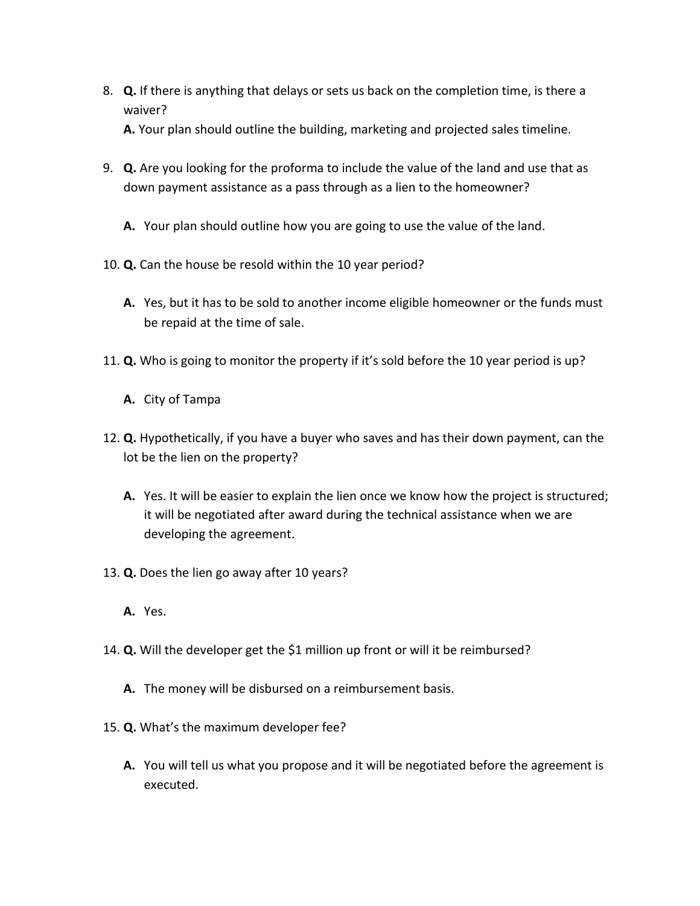8. **Q.** If there is anything that delays or sets us back on the completion time, is there a waiver?

**A.** Your plan should outline the building, marketing and projected sales timeline.

- 9. **Q.** Are you looking for the proforma to include the value of the land and use that as down payment assistance as a pass through as a lien to the homeowner?
	- **A.** Your plan should outline how you are going to use the value of the land.
- 10. **Q.** Can the house be resold within the 10 year period?
	- **A.** Yes, but it has to be sold to another income eligible homeowner or the funds must be repaid at the time of sale.
- 11. **Q.** Who is going to monitor the property if it's sold before the 10 year period is up?
	- **A.** City of Tampa
- 12. **Q.** Hypothetically, if you have a buyer who saves and has their down payment, can the lot be the lien on the property?
	- **A.** Yes. It will be easier to explain the lien once we know how the project is structured; it will be negotiated after award during the technical assistance when we are developing the agreement.
- 13. **Q.** Does the lien go away after 10 years?
	- **A.** Yes.
- 14. **Q.** Will the developer get the \$1 million up front or will it be reimbursed?
	- **A.** The money will be disbursed on a reimbursement basis.
- 15. **Q.** What's the maximum developer fee?
	- **A.** You will tell us what you propose and it will be negotiated before the agreement is executed.